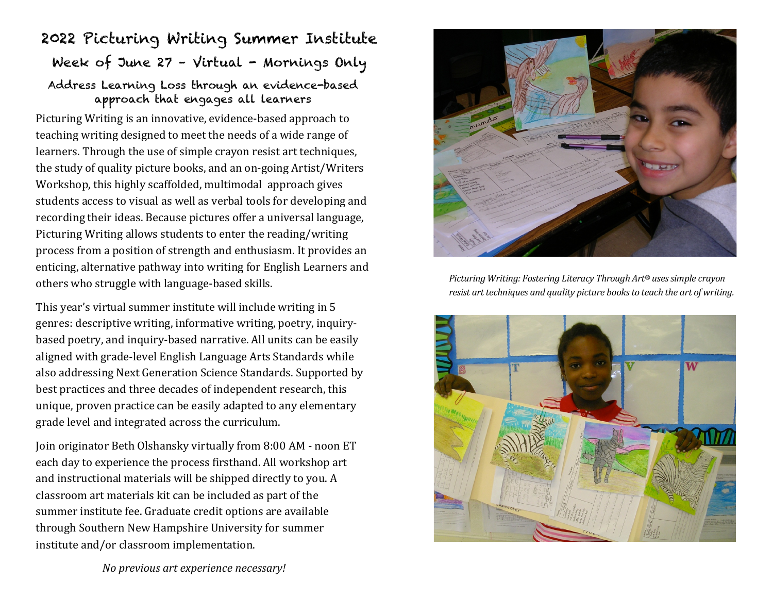## 2022 Picturing Writing Summer Institute Week of June 27 - Virtual - Mornings Only Address Learning Loss through an evidence-based approach that engages all learners

Picturing Writing is an innovative, evidence-based approach to teaching writing designed to meet the needs of a wide range of learners. Through the use of simple crayon resist art techniques, the study of quality picture books, and an on-going Artist/Writers Workshop, this highly scaffolded, multimodal approach gives students access to visual as well as verbal tools for developing and recording their ideas. Because pictures offer a universal language, Picturing Writing allows students to enter the reading/writing process from a position of strength and enthusiasm. It provides an enticing, alternative pathway into writing for English Learners and others who struggle with language-based skills.

This year's virtual summer institute will include writing in 5 genres: descriptive writing, informative writing, poetry, inquirybased poetry, and inquiry-based narrative. All units can be easily aligned with grade-level English Language Arts Standards while also addressing Next Generation Science Standards. Supported by best practices and three decades of independent research, this unique, proven practice can be easily adapted to any elementary grade level and integrated across the curriculum.

Join originator Beth Olshansky virtually from 8:00 AM - noon ET each day to experience the process firsthand. All workshop art and instructional materials will be shipped directly to you. A classroom art materials kit can be included as part of the summer institute fee. Graduate credit options are available through Southern New Hampshire University for summer institute and/or classroom implementation.



*Picturing Writing: Fostering Literacy Through Art<sup>®</sup> uses simple crayon resist art techniques and quality picture books to teach the art of writing.* 



*No previous art experience necessary!*